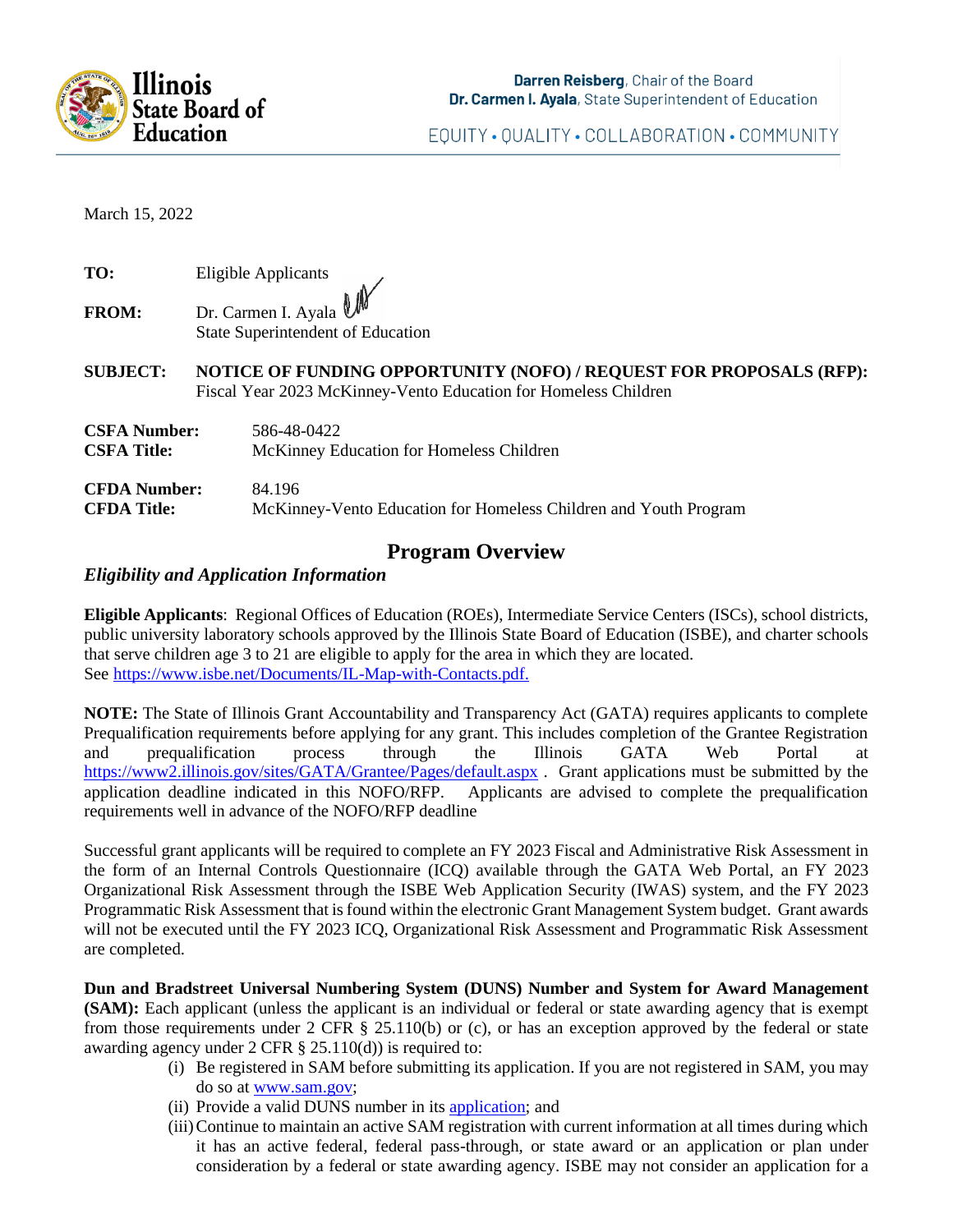

EQUITY · QUALITY · COLLABORATION · COMMUNITY

March 15, 2022

| TO:          | Eligible Applicants |  |
|--------------|---------------------|--|
| <b>FROM:</b> | Dr Carmen J Avole N |  |

State Superintendent of Education

### **SUBJECT: NOTICE OF FUNDING OPPORTUNITY (NOFO) / REQUEST FOR PROPOSALS (RFP):**  Fiscal Year 2023 McKinney-Vento Education for Homeless Children

| <b>CSFA Number:</b> | 586-48-0422                                                      |
|---------------------|------------------------------------------------------------------|
| CSFA Title:         | McKinney Education for Homeless Children                         |
| <b>CFDA Number:</b> | 84.196                                                           |
| CFDA Title:         | McKinney-Vento Education for Homeless Children and Youth Program |

## **Program Overview**

### *Eligibility and Application Information*

**Eligible Applicants**: Regional Offices of Education (ROEs), Intermediate Service Centers (ISCs), school districts, public university laboratory schools approved by the Illinois State Board of Education (ISBE), and charter schools that serve children age 3 to 21 are eligible to apply for the area in which they are located. See [https://www.isbe.net/Documents/IL-Map-with-Contacts.pdf.](https://www.isbe.net/Documents/IL-Map-with-Contacts.pdf)

**NOTE:** The State of Illinois Grant Accountability and Transparency Act (GATA) requires applicants to complete Prequalification requirements before applying for any grant. This includes completion of the Grantee Registration and prequalification process through the Illinois GATA Web Portal at <https://www2.illinois.gov/sites/GATA/Grantee/Pages/default.aspx> . Grant applications must be submitted by the application deadline indicated in this NOFO/RFP. Applicants are advised to complete the prequalification requirements well in advance of the NOFO/RFP deadline

Successful grant applicants will be required to complete an FY 2023 Fiscal and Administrative Risk Assessment in the form of an Internal Controls Questionnaire (ICQ) available through the GATA Web Portal, an FY 2023 Organizational Risk Assessment through the ISBE Web Application Security (IWAS) system, and the FY 2023 Programmatic Risk Assessment that is found within the electronic Grant Management System budget. Grant awards will not be executed until the FY 2023 ICQ, Organizational Risk Assessment and Programmatic Risk Assessment are completed.

**Dun and Bradstreet Universal Numbering System (DUNS) Number and System for Award Management (SAM):** Each applicant (unless the applicant is an individual or federal or state awarding agency that is exempt from those requirements under 2 CFR § 25.110(b) or (c), or has an exception approved by the federal or state awarding agency under 2 CFR  $\S$  25.110(d)) is required to:

- (i) Be registered in SAM before submitting its application. If you are not registered in SAM, you may do so at [www.sam.gov;](http://www.sam.gov/)
- (ii) Provide a valid DUNS number in its [application;](https://fedgov.dnb.com/webform) and
- (iii)Continue to maintain an active SAM registration with current information at all times during which it has an active federal, federal pass-through, or state award or an application or plan under consideration by a federal or state awarding agency. ISBE may not consider an application for a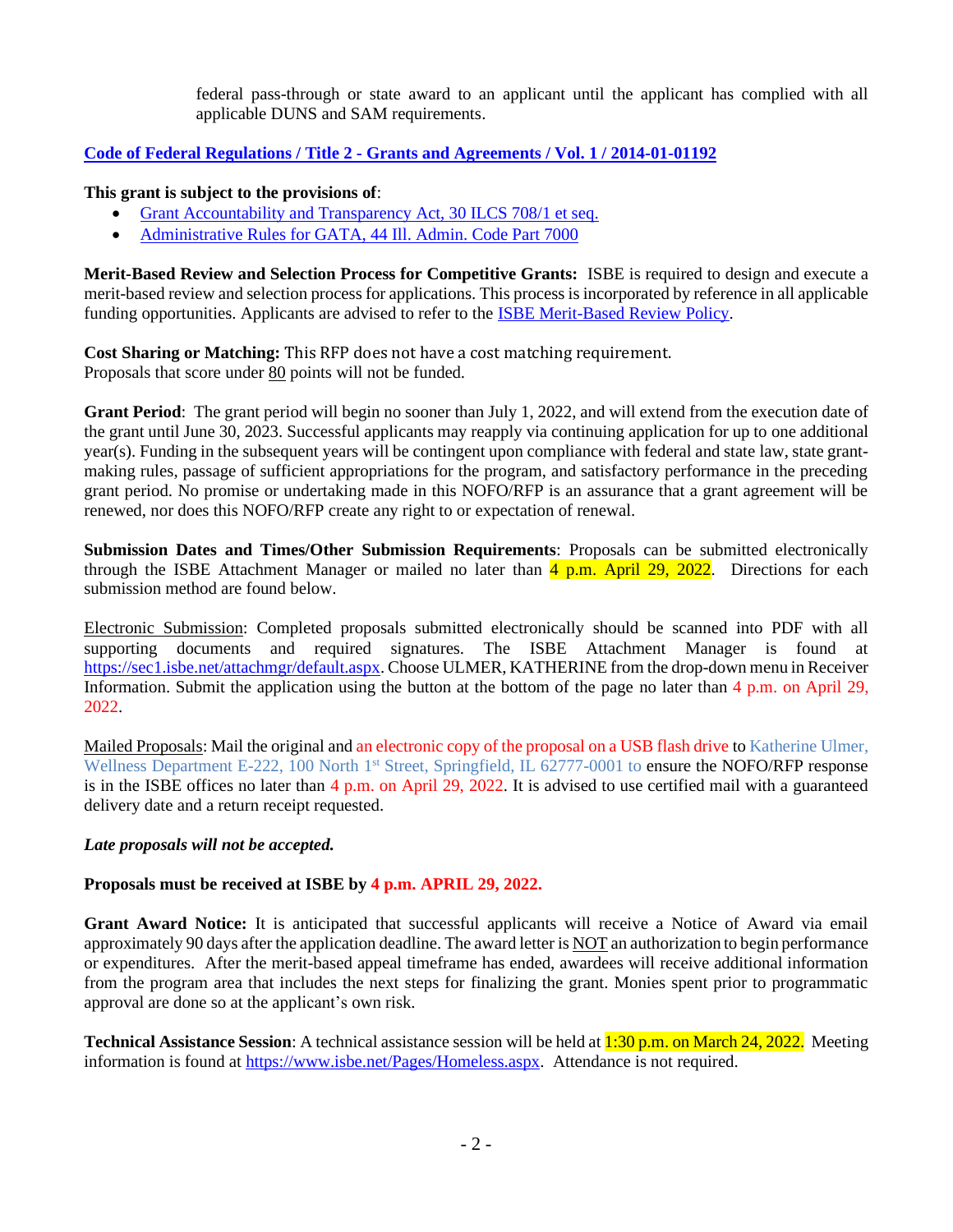federal pass-through or state award to an applicant until the applicant has complied with all applicable DUNS and SAM requirements.

### **Code of Federal Regulations / Title 2 - [Grants and Agreements / Vol. 1 / 2014-01-01192](https://www.govinfo.gov/content/pkg/CFR-2013-title2-vol1/pdf/CFR-2013-title2-vol1.pdf)**

#### **This grant is subject to the provisions of**:

- [Grant Accountability and Transparency Act, 30 ILCS 708/1 et seq.](https://www.ilga.gov/legislation/ilcs/ilcs3.asp?ActID=3559&ChapterID=7)
- [Administrative Rules for GATA, 44 Ill. Admin. Code Part 7000](https://ilga.gov/commission/JCAR/admincode/044/04407000sections.html)

**Merit-Based Review and Selection Process for Competitive Grants:** ISBE is required to design and execute a merit-based review and selection process for applications. This process is incorporated by reference in all applicable funding opportunities. Applicants are advised to refer to the [ISBE Merit-Based Review Policy.](https://www.isbe.net/Documents/Merit_Based_Review_Policy.pdf)

**Cost Sharing or Matching:** This RFP does not have a cost matching requirement. Proposals that score under 80 points will not be funded*.*

**Grant Period**: The grant period will begin no sooner than July 1, 2022, and will extend from the execution date of the grant until June 30, 2023. Successful applicants may reapply via continuing application for up to one additional year(s). Funding in the subsequent years will be contingent upon compliance with federal and state law, state grantmaking rules, passage of sufficient appropriations for the program, and satisfactory performance in the preceding grant period. No promise or undertaking made in this NOFO/RFP is an assurance that a grant agreement will be renewed, nor does this NOFO/RFP create any right to or expectation of renewal.

**Submission Dates and Times/Other Submission Requirements**: Proposals can be submitted electronically through the ISBE Attachment Manager or mailed no later than  $\frac{4 \text{ p.m.}}{2 \text{ nm}}$ . April 29, 2022. Directions for each submission method are found below.

Electronic Submission: Completed proposals submitted electronically should be scanned into PDF with all supporting documents and required signatures. The ISBE Attachment Manager is found at [https://sec1.isbe.net/attachmgr/default.aspx.](https://sec1.isbe.net/attachmgr/default.aspx) Choose ULMER, KATHERINE from the drop-down menu in Receiver Information. Submit the application using the button at the bottom of the page no later than 4 p.m. on April 29, 2022.

Mailed Proposals: Mail the original and an electronic copy of the proposal on a USB flash drive to Katherine Ulmer, Wellness Department E-222, 100 North 1<sup>st</sup> Street, Springfield, IL 62777-0001 to ensure the NOFO/RFP response is in the ISBE offices no later than 4 p.m. on April 29, 2022. It is advised to use certified mail with a guaranteed delivery date and a return receipt requested.

#### *Late proposals will not be accepted.*

#### **Proposals must be received at ISBE by 4 p.m. APRIL 29, 2022.**

**Grant Award Notice:** It is anticipated that successful applicants will receive a Notice of Award via email approximately 90 days after the application deadline. The award letter is NOT an authorization to begin performance or expenditures. After the merit-based appeal timeframe has ended, awardees will receive additional information from the program area that includes the next steps for finalizing the grant. Monies spent prior to programmatic approval are done so at the applicant's own risk.

**Technical Assistance Session**: A technical assistance session will be held at 1:30 p.m. on March 24, 2022. Meeting information is found at [https://www.isbe.net/Pages/Homeless.aspx.](https://www.isbe.net/Pages/Homeless.aspx) Attendance is not required.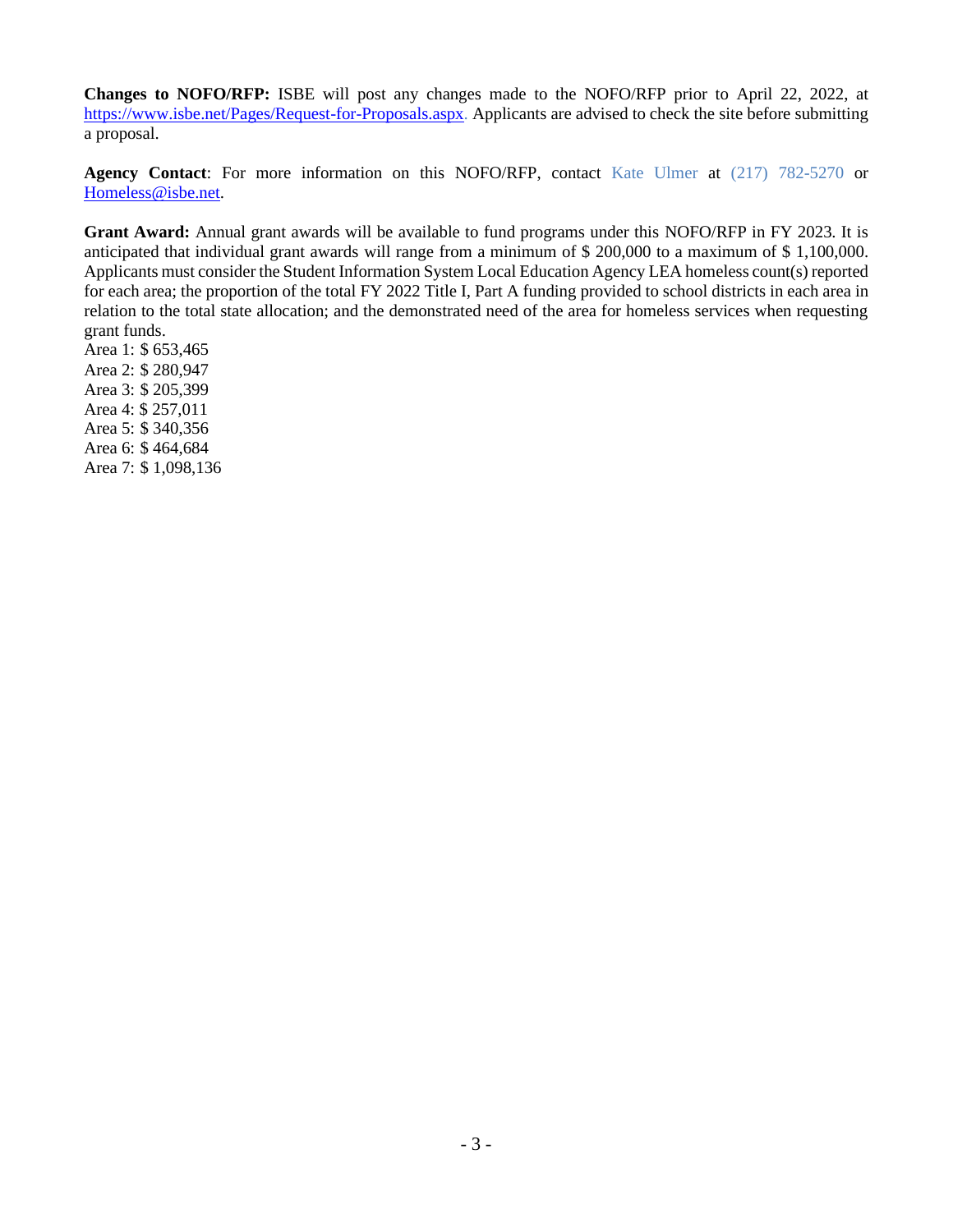**Changes to NOFO/RFP:** ISBE will post any changes made to the NOFO/RFP prior to April 22, 2022, at [https://www.isbe.net/Pages/Request-for-Proposals.aspx.](https://www.isbe.net/Pages/Request-for-Proposals.aspx) Applicants are advised to check the site before submitting a proposal.

**Agency Contact**: For more information on this NOFO/RFP, contact Kate Ulmer at (217) 782-5270 or [Homeless@isbe.net.](mailto:Homeless@isbe.net)

**Grant Award:** Annual grant awards will be available to fund programs under this NOFO/RFP in FY 2023. It is anticipated that individual grant awards will range from a minimum of \$ 200,000 to a maximum of \$ 1,100,000. Applicants must consider the Student Information System Local Education Agency LEA homeless count(s) reported for each area; the proportion of the total FY 2022 Title I, Part A funding provided to school districts in each area in relation to the total state allocation; and the demonstrated need of the area for homeless services when requesting grant funds.

Area 1: \$ 653,465 Area 2: \$ 280,947 Area 3: \$ 205,399 Area 4: \$ 257,011 Area 5: \$ 340,356 Area 6: \$ 464,684 Area 7: \$ 1,098,136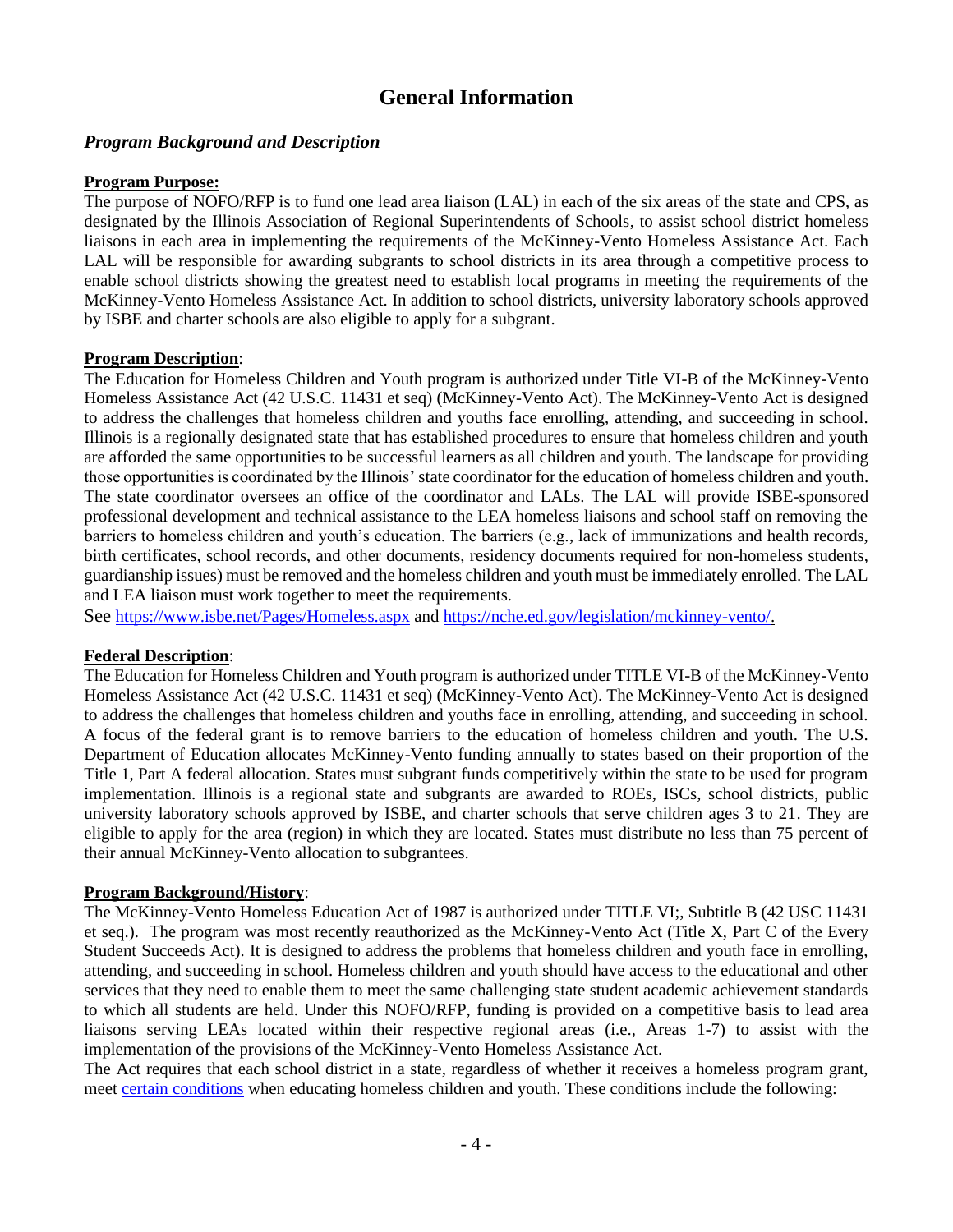# **General Information**

### *Program Background and Description*

#### **Program Purpose:**

The purpose of NOFO/RFP is to fund one lead area liaison (LAL) in each of the six areas of the state and CPS, as designated by the Illinois Association of Regional Superintendents of Schools, to assist school district homeless liaisons in each area in implementing the requirements of the McKinney-Vento Homeless Assistance Act. Each LAL will be responsible for awarding subgrants to school districts in its area through a competitive process to enable school districts showing the greatest need to establish local programs in meeting the requirements of the McKinney-Vento Homeless Assistance Act. In addition to school districts, university laboratory schools approved by ISBE and charter schools are also eligible to apply for a subgrant.

### **Program Description**:

The Education for Homeless Children and Youth program is authorized under Title VI-B of the McKinney-Vento Homeless Assistance Act (42 U.S.C. 11431 et seq) (McKinney-Vento Act). The McKinney-Vento Act is designed to address the challenges that homeless children and youths face enrolling, attending, and succeeding in school. Illinois is a regionally designated state that has established procedures to ensure that homeless children and youth are afforded the same opportunities to be successful learners as all children and youth. The landscape for providing those opportunities is coordinated by the Illinois' state coordinator for the education of homeless children and youth. The state coordinator oversees an office of the coordinator and LALs. The LAL will provide ISBE-sponsored professional development and technical assistance to the LEA homeless liaisons and school staff on removing the barriers to homeless children and youth's education. The barriers (e.g., lack of immunizations and health records, birth certificates, school records, and other documents, residency documents required for non-homeless students, guardianship issues) must be removed and the homeless children and youth must be immediately enrolled. The LAL and LEA liaison must work together to meet the requirements.

See <https://www.isbe.net/Pages/Homeless.aspx> and [https://nche.ed.gov/legislation/mckinney-vento/.](https://nche.ed.gov/legislation/mckinney-vento/)

### **Federal Description**:

The Education for Homeless Children and Youth program is authorized under TITLE VI-B of the McKinney-Vento Homeless Assistance Act (42 U.S.C. 11431 et seq) (McKinney-Vento Act). The McKinney-Vento Act is designed to address the challenges that homeless children and youths face in enrolling, attending, and succeeding in school. A focus of the federal grant is to remove barriers to the education of homeless children and youth. The U.S. Department of Education allocates McKinney-Vento funding annually to states based on their proportion of the Title 1, Part A federal allocation. States must subgrant funds competitively within the state to be used for program implementation. Illinois is a regional state and subgrants are awarded to ROEs, ISCs, school districts, public university laboratory schools approved by ISBE, and charter schools that serve children ages 3 to 21. They are eligible to apply for the area (region) in which they are located. States must distribute no less than 75 percent of their annual McKinney-Vento allocation to subgrantees.

#### **Program Background/History**:

The McKinney-Vento Homeless Education Act of 1987 is authorized under TITLE VI;, Subtitle B (42 USC 11431 et seq.). The program was most recently reauthorized as the McKinney-Vento Act (Title X, Part C of the Every Student Succeeds Act). It is designed to address the problems that homeless children and youth face in enrolling, attending, and succeeding in school. Homeless children and youth should have access to the educational and other services that they need to enable them to meet the same challenging state student academic achievement standards to which all students are held. Under this NOFO/RFP, funding is provided on a competitive basis to lead area liaisons serving LEAs located within their respective regional areas (i.e., Areas 1-7) to assist with the implementation of the provisions of the McKinney-Vento Homeless Assistance Act.

The Act requires that each school district in a state, regardless of whether it receives a homeless program grant, meet [certain conditions](https://www.isbe.net/Documents/ESSAStatePlanforIllinois.pdf#page=127) when educating homeless children and youth. These conditions include the following: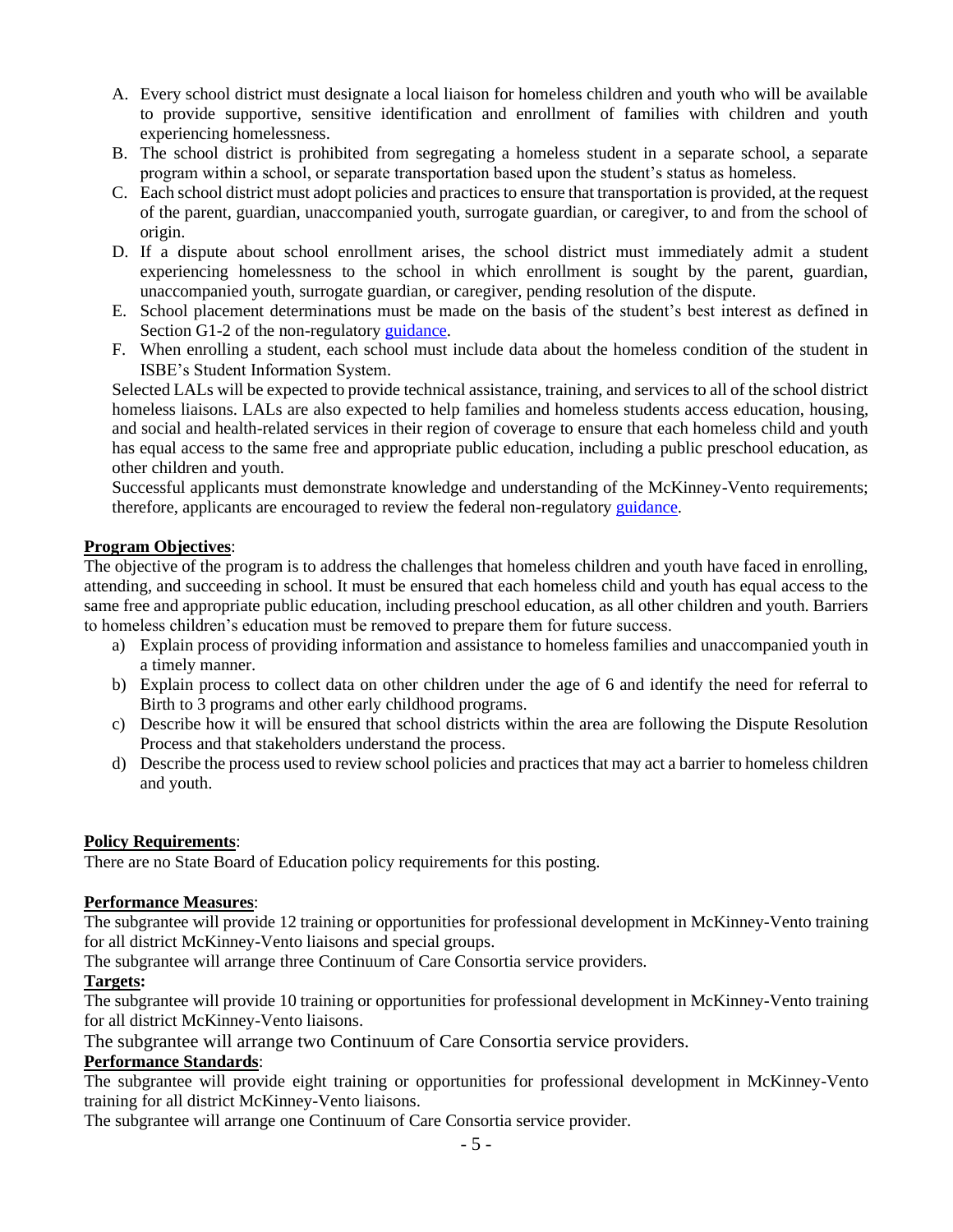- A. Every school district must designate a local liaison for homeless children and youth who will be available to provide supportive, sensitive identification and enrollment of families with children and youth experiencing homelessness.
- B. The school district is prohibited from segregating a homeless student in a separate school, a separate program within a school, or separate transportation based upon the student's status as homeless.
- C. Each school district must adopt policies and practices to ensure that transportation is provided, at the request of the parent, guardian, unaccompanied youth, surrogate guardian, or caregiver, to and from the school of origin.
- D. If a dispute about school enrollment arises, the school district must immediately admit a student experiencing homelessness to the school in which enrollment is sought by the parent, guardian, unaccompanied youth, surrogate guardian, or caregiver, pending resolution of the dispute.
- E. School placement determinations must be made on the basis of the student's best interest as defined in Section G1-2 of the non-regulatory [guidance.](https://nche.ed.gov/legislation/mckinney-vento/)
- F. When enrolling a student, each school must include data about the homeless condition of the student in ISBE's Student Information System.

Selected LALs will be expected to provide technical assistance, training, and services to all of the school district homeless liaisons. LALs are also expected to help families and homeless students access education, housing, and social and health-related services in their region of coverage to ensure that each homeless child and youth has equal access to the same free and appropriate public education, including a public preschool education, as other children and youth.

Successful applicants must demonstrate knowledge and understanding of the McKinney-Vento requirements; therefore, applicants are encouraged to review the federal non-regulator[y guidance.](https://nche.ed.gov/legislation/mckinney-vento/)

### **Program Objectives**:

The objective of the program is to address the challenges that homeless children and youth have faced in enrolling, attending, and succeeding in school. It must be ensured that each homeless child and youth has equal access to the same free and appropriate public education, including preschool education, as all other children and youth. Barriers to homeless children's education must be removed to prepare them for future success.

- a) Explain process of providing information and assistance to homeless families and unaccompanied youth in a timely manner.
- b) Explain process to collect data on other children under the age of 6 and identify the need for referral to Birth to 3 programs and other early childhood programs.
- c) Describe how it will be ensured that school districts within the area are following the Dispute Resolution Process and that stakeholders understand the process.
- d) Describe the process used to review school policies and practices that may act a barrier to homeless children and youth.

### **Policy Requirements**:

There are no State Board of Education policy requirements for this posting.

#### **Performance Measures**:

The subgrantee will provide 12 training or opportunities for professional development in McKinney-Vento training for all district McKinney-Vento liaisons and special groups.

The subgrantee will arrange three Continuum of Care Consortia service providers.

### **Targets:**

The subgrantee will provide 10 training or opportunities for professional development in McKinney-Vento training for all district McKinney-Vento liaisons.

The subgrantee will arrange two Continuum of Care Consortia service providers.

#### **Performance Standards**:

The subgrantee will provide eight training or opportunities for professional development in McKinney-Vento training for all district McKinney-Vento liaisons.

The subgrantee will arrange one Continuum of Care Consortia service provider.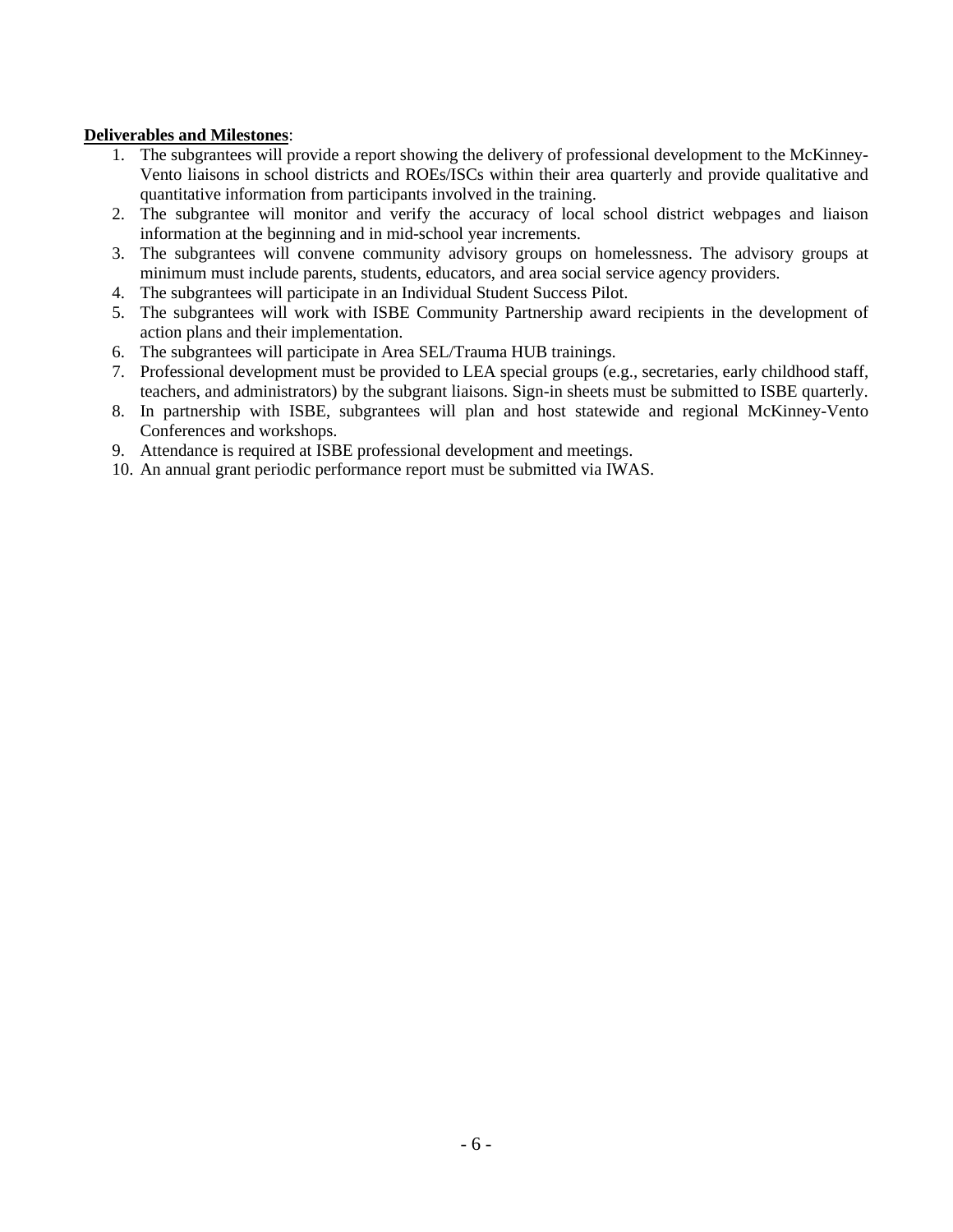### **Deliverables and Milestones**:

- 1. The subgrantees will provide a report showing the delivery of professional development to the McKinney-Vento liaisons in school districts and ROEs/ISCs within their area quarterly and provide qualitative and quantitative information from participants involved in the training.
- 2. The subgrantee will monitor and verify the accuracy of local school district webpages and liaison information at the beginning and in mid-school year increments.
- 3. The subgrantees will convene community advisory groups on homelessness. The advisory groups at minimum must include parents, students, educators, and area social service agency providers.
- 4. The subgrantees will participate in an Individual Student Success Pilot.
- 5. The subgrantees will work with ISBE Community Partnership award recipients in the development of action plans and their implementation.
- 6. The subgrantees will participate in Area SEL/Trauma HUB trainings.
- 7. Professional development must be provided to LEA special groups (e.g., secretaries, early childhood staff, teachers, and administrators) by the subgrant liaisons. Sign-in sheets must be submitted to ISBE quarterly.
- 8. In partnership with ISBE, subgrantees will plan and host statewide and regional McKinney-Vento Conferences and workshops.
- 9. Attendance is required at ISBE professional development and meetings.
- 10. An annual grant periodic performance report must be submitted via IWAS.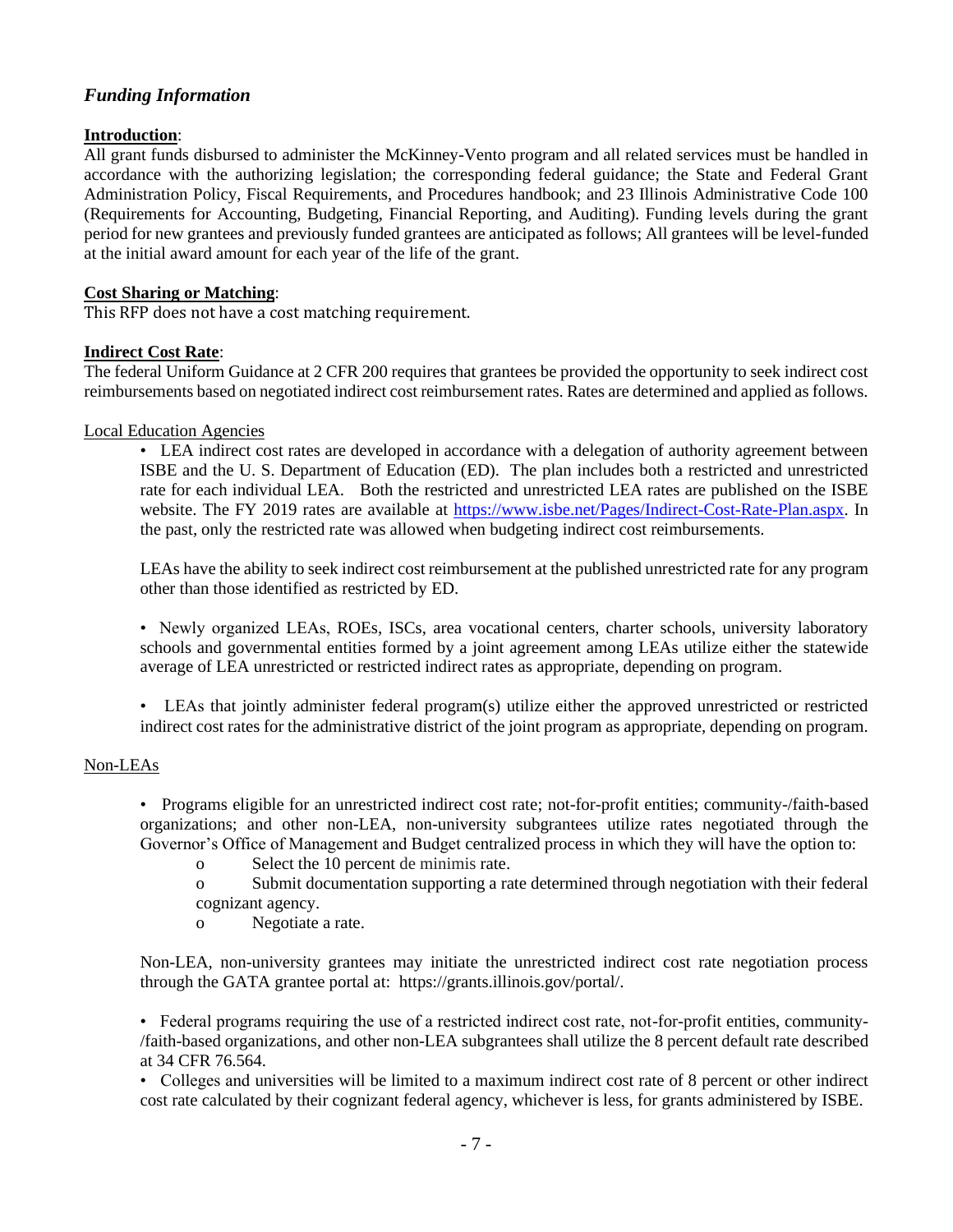### *Funding Information*

### **Introduction**:

All grant funds disbursed to administer the McKinney-Vento program and all related services must be handled in accordance with the authorizing legislation; the corresponding federal guidance; the State and Federal Grant Administration Policy, Fiscal Requirements, and Procedures handbook; and 23 Illinois Administrative Code 100 (Requirements for Accounting, Budgeting, Financial Reporting, and Auditing). Funding levels during the grant period for new grantees and previously funded grantees are anticipated as follows; All grantees will be level-funded at the initial award amount for each year of the life of the grant.

#### **Cost Sharing or Matching**:

This RFP does not have a cost matching requirement.

#### **Indirect Cost Rate**:

The federal Uniform Guidance at 2 CFR 200 requires that grantees be provided the opportunity to seek indirect cost reimbursements based on negotiated indirect cost reimbursement rates. Rates are determined and applied as follows.

#### Local Education Agencies

• LEA indirect cost rates are developed in accordance with a delegation of authority agreement between ISBE and the U. S. Department of Education (ED). The plan includes both a restricted and unrestricted rate for each individual LEA. Both the restricted and unrestricted LEA rates are published on the ISBE website. The FY 2019 rates are available at [https://www.isbe.net/Pages/Indirect-Cost-Rate-Plan.aspx.](https://www.isbe.net/Pages/Indirect-Cost-Rate-Plan.aspx) In the past, only the restricted rate was allowed when budgeting indirect cost reimbursements.

LEAs have the ability to seek indirect cost reimbursement at the published unrestricted rate for any program other than those identified as restricted by ED.

• Newly organized LEAs, ROEs, ISCs, area vocational centers, charter schools, university laboratory schools and governmental entities formed by a joint agreement among LEAs utilize either the statewide average of LEA unrestricted or restricted indirect rates as appropriate, depending on program.

• LEAs that jointly administer federal program(s) utilize either the approved unrestricted or restricted indirect cost rates for the administrative district of the joint program as appropriate, depending on program.

#### Non-LEAs

• Programs eligible for an unrestricted indirect cost rate; not-for-profit entities; community-/faith-based organizations; and other non-LEA, non-university subgrantees utilize rates negotiated through the Governor's Office of Management and Budget centralized process in which they will have the option to:

- o Select the 10 percent de minimis rate.
- o Submit documentation supporting a rate determined through negotiation with their federal cognizant agency.
- o Negotiate a rate.

Non-LEA, non-university grantees may initiate the unrestricted indirect cost rate negotiation process through the GATA grantee portal at: https://grants.illinois.gov/portal/.

• Federal programs requiring the use of a restricted indirect cost rate, not-for-profit entities, community- /faith-based organizations, and other non-LEA subgrantees shall utilize the 8 percent default rate described at 34 CFR 76.564.

• Colleges and universities will be limited to a maximum indirect cost rate of 8 percent or other indirect cost rate calculated by their cognizant federal agency, whichever is less, for grants administered by ISBE.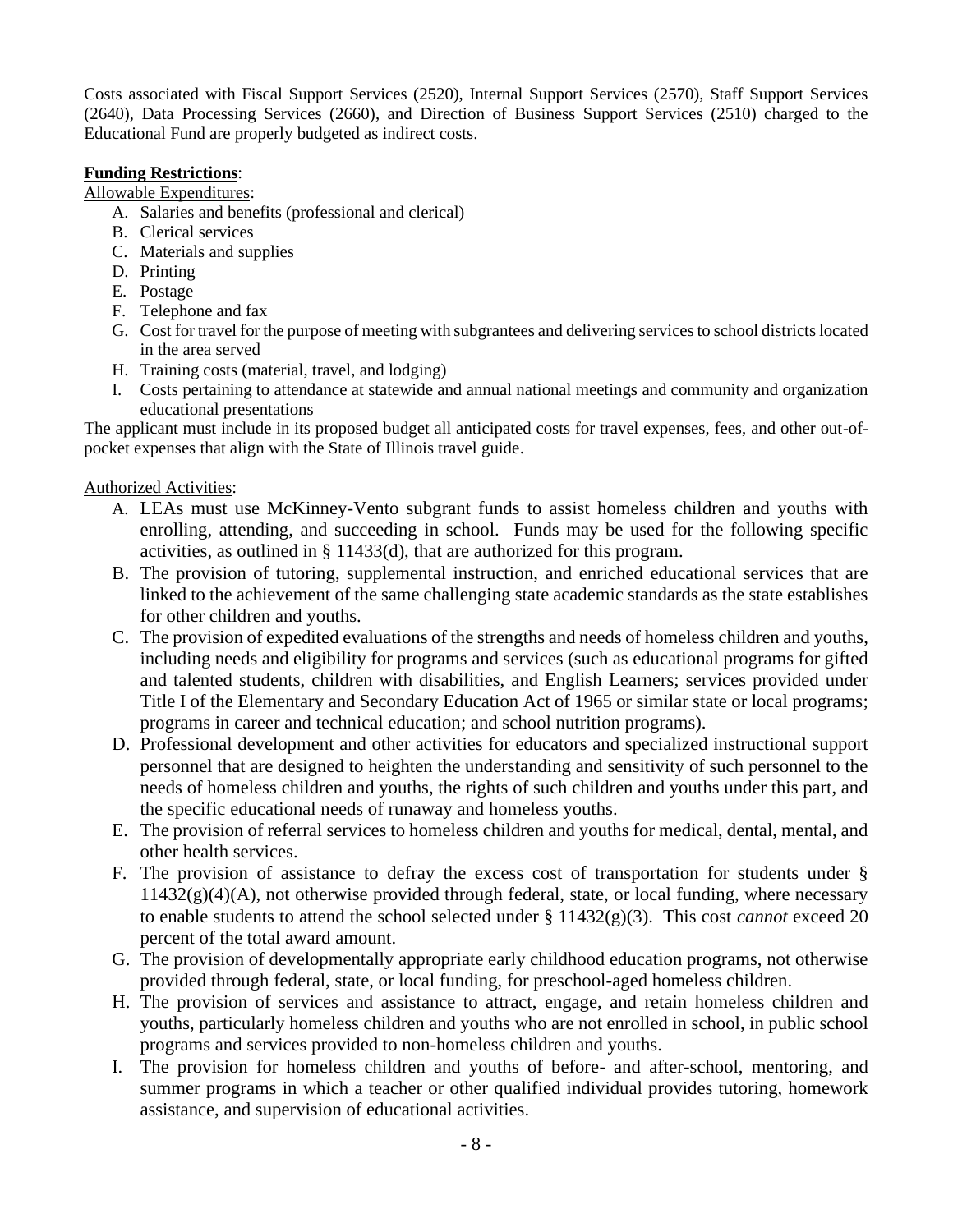Costs associated with Fiscal Support Services (2520), Internal Support Services (2570), Staff Support Services (2640), Data Processing Services (2660), and Direction of Business Support Services (2510) charged to the Educational Fund are properly budgeted as indirect costs.

### **Funding Restrictions**:

Allowable Expenditures:

- A. Salaries and benefits (professional and clerical)
- B. Clerical services
- C. Materials and supplies
- D. Printing
- E. Postage
- F. Telephone and fax
- G. Cost for travel for the purpose of meeting with subgrantees and delivering services to school districts located in the area served
- H. Training costs (material, travel, and lodging)
- I. Costs pertaining to attendance at statewide and annual national meetings and community and organization educational presentations

The applicant must include in its proposed budget all anticipated costs for travel expenses, fees, and other out-ofpocket expenses that align with the State of Illinois travel guide.

### Authorized Activities:

- A. LEAs must use McKinney-Vento subgrant funds to assist homeless children and youths with enrolling, attending, and succeeding in school. Funds may be used for the following specific activities, as outlined in § 11433(d), that are authorized for this program.
- B. The provision of tutoring, supplemental instruction, and enriched educational services that are linked to the achievement of the same challenging state academic standards as the state establishes for other children and youths.
- C. The provision of expedited evaluations of the strengths and needs of homeless children and youths, including needs and eligibility for programs and services (such as educational programs for gifted and talented students, children with disabilities, and English Learners; services provided under Title I of the Elementary and Secondary Education Act of 1965 or similar state or local programs; programs in career and technical education; and school nutrition programs).
- D. Professional development and other activities for educators and specialized instructional support personnel that are designed to heighten the understanding and sensitivity of such personnel to the needs of homeless children and youths, the rights of such children and youths under this part, and the specific educational needs of runaway and homeless youths.
- E. The provision of referral services to homeless children and youths for medical, dental, mental, and other health services.
- F. The provision of assistance to defray the excess cost of transportation for students under §  $11432(g)(4)(A)$ , not otherwise provided through federal, state, or local funding, where necessary to enable students to attend the school selected under § 11432(g)(3). This cost *cannot* exceed 20 percent of the total award amount.
- G. The provision of developmentally appropriate early childhood education programs, not otherwise provided through federal, state, or local funding, for preschool-aged homeless children.
- H. The provision of services and assistance to attract, engage, and retain homeless children and youths, particularly homeless children and youths who are not enrolled in school, in public school programs and services provided to non-homeless children and youths.
- I. The provision for homeless children and youths of before- and after-school, mentoring, and summer programs in which a teacher or other qualified individual provides tutoring, homework assistance, and supervision of educational activities.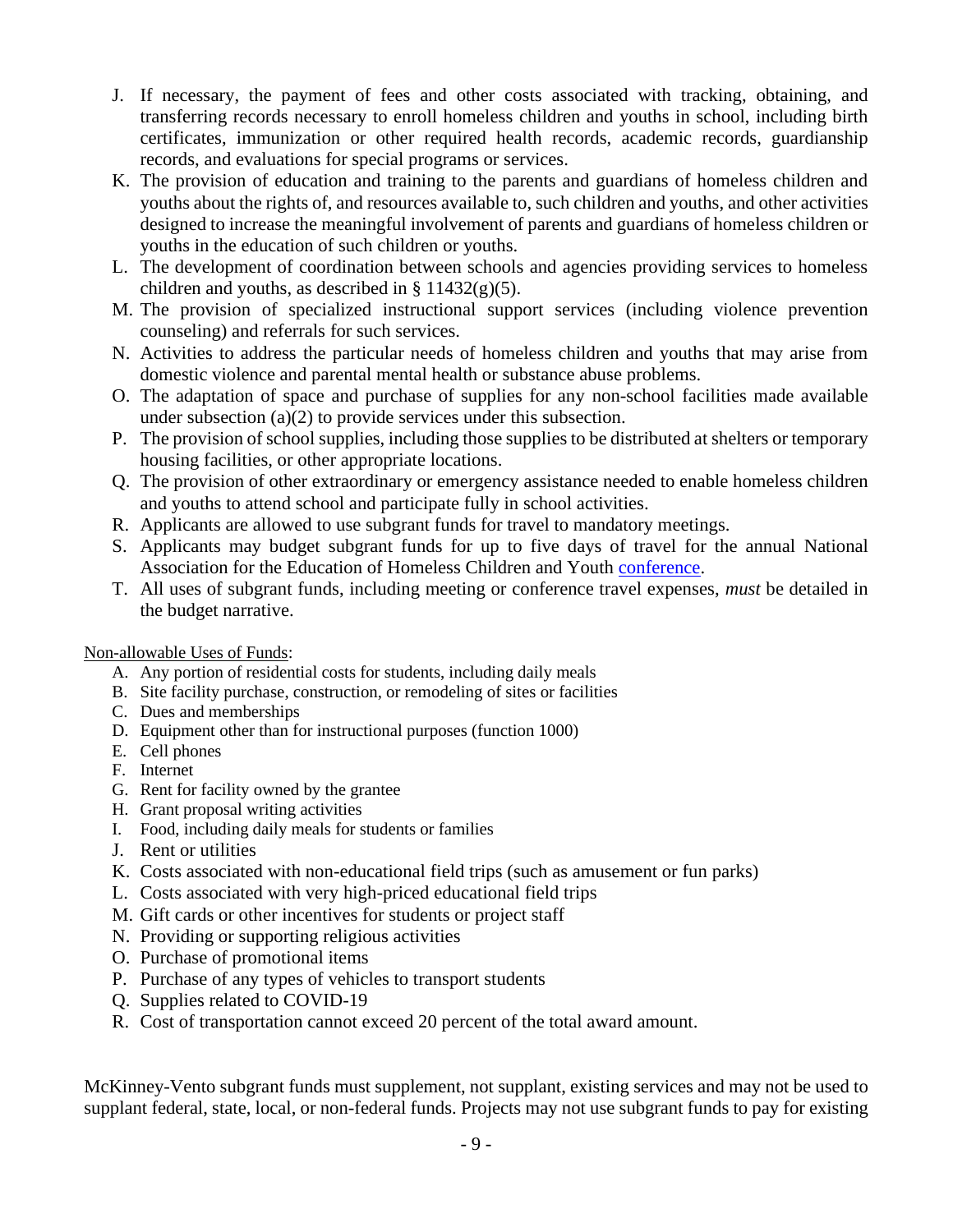- J. If necessary, the payment of fees and other costs associated with tracking, obtaining, and transferring records necessary to enroll homeless children and youths in school, including birth certificates, immunization or other required health records, academic records, guardianship records, and evaluations for special programs or services.
- K. The provision of education and training to the parents and guardians of homeless children and youths about the rights of, and resources available to, such children and youths, and other activities designed to increase the meaningful involvement of parents and guardians of homeless children or youths in the education of such children or youths.
- L. The development of coordination between schools and agencies providing services to homeless children and youths, as described in  $\S 11432(g)(5)$ .
- M. The provision of specialized instructional support services (including violence prevention counseling) and referrals for such services.
- N. Activities to address the particular needs of homeless children and youths that may arise from domestic violence and parental mental health or substance abuse problems.
- O. The adaptation of space and purchase of supplies for any non-school facilities made available under subsection (a)(2) to provide services under this subsection.
- P. The provision of school supplies, including those supplies to be distributed at shelters or temporary housing facilities, or other appropriate locations.
- Q. The provision of other extraordinary or emergency assistance needed to enable homeless children and youths to attend school and participate fully in school activities.
- R. Applicants are allowed to use subgrant funds for travel to mandatory meetings.
- S. Applicants may budget subgrant funds for up to five days of travel for the annual National Association for the Education of Homeless Children and Youth [conference.](https://naehcy.org/)
- T. All uses of subgrant funds, including meeting or conference travel expenses, *must* be detailed in the budget narrative.

### Non-allowable Uses of Funds:

- A. Any portion of residential costs for students, including daily meals
- B. Site facility purchase, construction, or remodeling of sites or facilities
- C. Dues and memberships
- D. Equipment other than for instructional purposes (function 1000)
- E. Cell phones
- F. Internet
- G. Rent for facility owned by the grantee
- H. Grant proposal writing activities
- I. Food, including daily meals for students or families
- J. Rent or utilities
- K. Costs associated with non-educational field trips (such as amusement or fun parks)
- L. Costs associated with very high-priced educational field trips
- M. Gift cards or other incentives for students or project staff
- N. Providing or supporting religious activities
- O. Purchase of promotional items
- P. Purchase of any types of vehicles to transport students
- Q. Supplies related to COVID-19
- R. Cost of transportation cannot exceed 20 percent of the total award amount.

McKinney-Vento subgrant funds must supplement, not supplant, existing services and may not be used to supplant federal, state, local, or non-federal funds. Projects may not use subgrant funds to pay for existing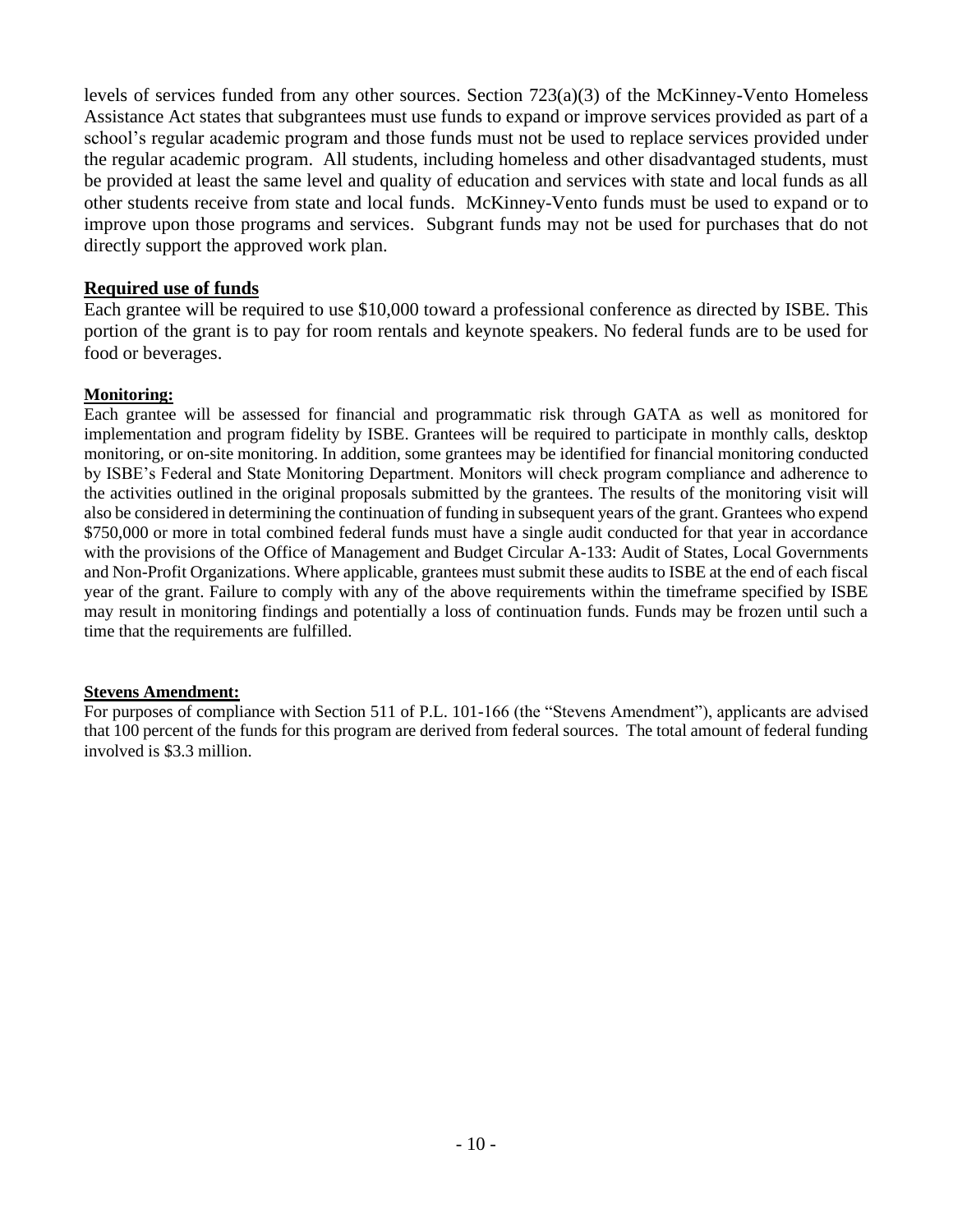levels of services funded from any other sources. Section 723(a)(3) of the McKinney-Vento Homeless Assistance Act states that subgrantees must use funds to expand or improve services provided as part of a school's regular academic program and those funds must not be used to replace services provided under the regular academic program. All students, including homeless and other disadvantaged students, must be provided at least the same level and quality of education and services with state and local funds as all other students receive from state and local funds. McKinney-Vento funds must be used to expand or to improve upon those programs and services. Subgrant funds may not be used for purchases that do not directly support the approved work plan.

### **Required use of funds**

Each grantee will be required to use \$10,000 toward a professional conference as directed by ISBE. This portion of the grant is to pay for room rentals and keynote speakers. No federal funds are to be used for food or beverages.

### **Monitoring:**

Each grantee will be assessed for financial and programmatic risk through GATA as well as monitored for implementation and program fidelity by ISBE. Grantees will be required to participate in monthly calls, desktop monitoring, or on-site monitoring. In addition, some grantees may be identified for financial monitoring conducted by ISBE's Federal and State Monitoring Department. Monitors will check program compliance and adherence to the activities outlined in the original proposals submitted by the grantees. The results of the monitoring visit will also be considered in determining the continuation of funding in subsequent years of the grant. Grantees who expend \$750,000 or more in total combined federal funds must have a single audit conducted for that year in accordance with the provisions of the Office of Management and Budget Circular A-133: Audit of States, Local Governments and Non-Profit Organizations. Where applicable, grantees must submit these audits to ISBE at the end of each fiscal year of the grant. Failure to comply with any of the above requirements within the timeframe specified by ISBE may result in monitoring findings and potentially a loss of continuation funds. Funds may be frozen until such a time that the requirements are fulfilled.

#### **Stevens Amendment:**

For purposes of compliance with Section 511 of P.L. 101-166 (the "Stevens Amendment"), applicants are advised that 100 percent of the funds for this program are derived from federal sources. The total amount of federal funding involved is \$3.3 million.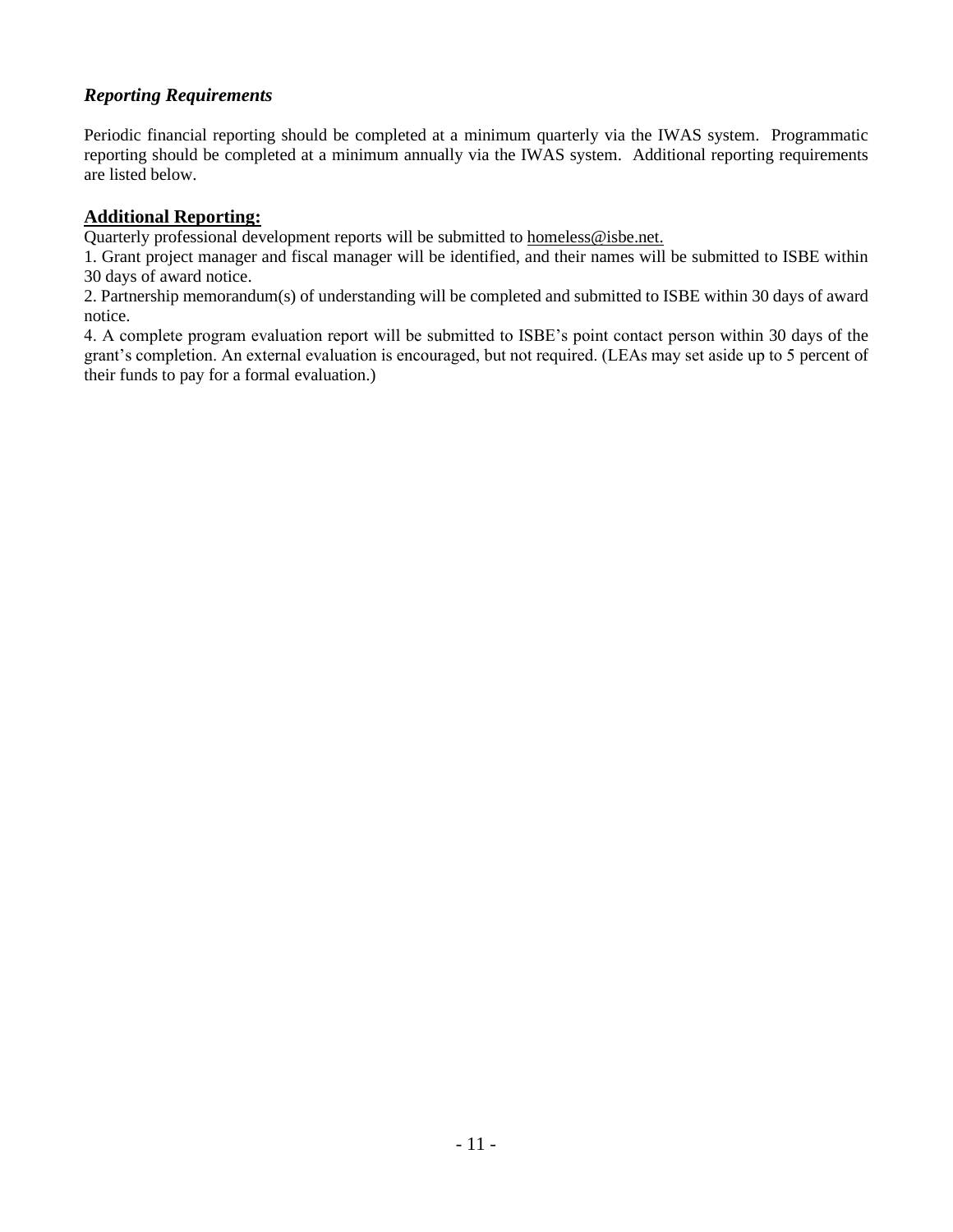## *Reporting Requirements*

Periodic financial reporting should be completed at a minimum quarterly via the IWAS system. Programmatic reporting should be completed at a minimum annually via the IWAS system. Additional reporting requirements are listed below.

### **Additional Reporting:**

Quarterly professional development reports will be submitted t[o homeless@isbe.net.](mailto:homeless@isbe.net)

1. Grant project manager and fiscal manager will be identified, and their names will be submitted to ISBE within 30 days of award notice.

2. Partnership memorandum(s) of understanding will be completed and submitted to ISBE within 30 days of award notice.

4. A complete program evaluation report will be submitted to ISBE's point contact person within 30 days of the grant's completion. An external evaluation is encouraged, but not required. (LEAs may set aside up to 5 percent of their funds to pay for a formal evaluation.)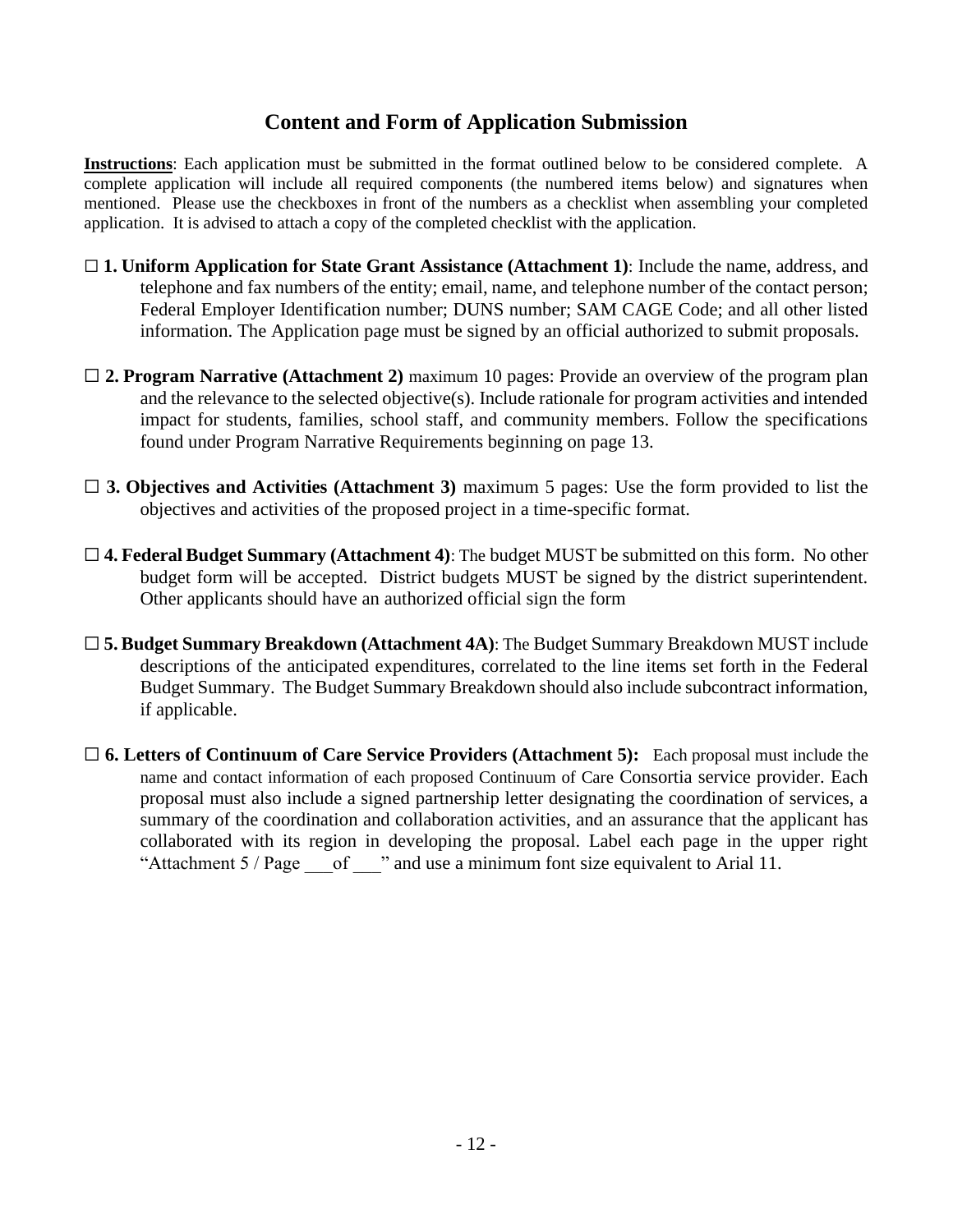# **Content and Form of Application Submission**

**Instructions**: Each application must be submitted in the format outlined below to be considered complete. A complete application will include all required components (the numbered items below) and signatures when mentioned. Please use the checkboxes in front of the numbers as a checklist when assembling your completed application. It is advised to attach a copy of the completed checklist with the application.

- ☐ **1. Uniform Application for State Grant Assistance (Attachment 1)**: Include the name, address, and telephone and fax numbers of the entity; email, name, and telephone number of the contact person; Federal Employer Identification number; DUNS number; SAM CAGE Code; and all other listed information. The Application page must be signed by an official authorized to submit proposals.
- □ 2. **Program Narrative (Attachment 2)** maximum 10 pages: Provide an overview of the program plan and the relevance to the selected objective(s). Include rationale for program activities and intended impact for students, families, school staff, and community members. Follow the specifications found under Program Narrative Requirements beginning on page 13.
- □ **3. Objectives and Activities (Attachment 3)** maximum 5 pages: Use the form provided to list the objectives and activities of the proposed project in a time-specific format.
- ☐ **4. Federal Budget Summary (Attachment 4)**: The budget MUST be submitted on this form. No other budget form will be accepted. District budgets MUST be signed by the district superintendent. Other applicants should have an authorized official sign the form
- ☐ **5. Budget Summary Breakdown (Attachment 4A)**: The Budget Summary Breakdown MUST include descriptions of the anticipated expenditures, correlated to the line items set forth in the Federal Budget Summary. The Budget Summary Breakdown should also include subcontract information, if applicable.
- □ 6. Letters of Continuum of Care Service Providers (Attachment 5): Each proposal must include the name and contact information of each proposed Continuum of Care Consortia service provider. Each proposal must also include a signed partnership letter designating the coordination of services, a summary of the coordination and collaboration activities, and an assurance that the applicant has collaborated with its region in developing the proposal. Label each page in the upper right "Attachment  $5$  / Page of  $\cdots$  and use a minimum font size equivalent to Arial 11.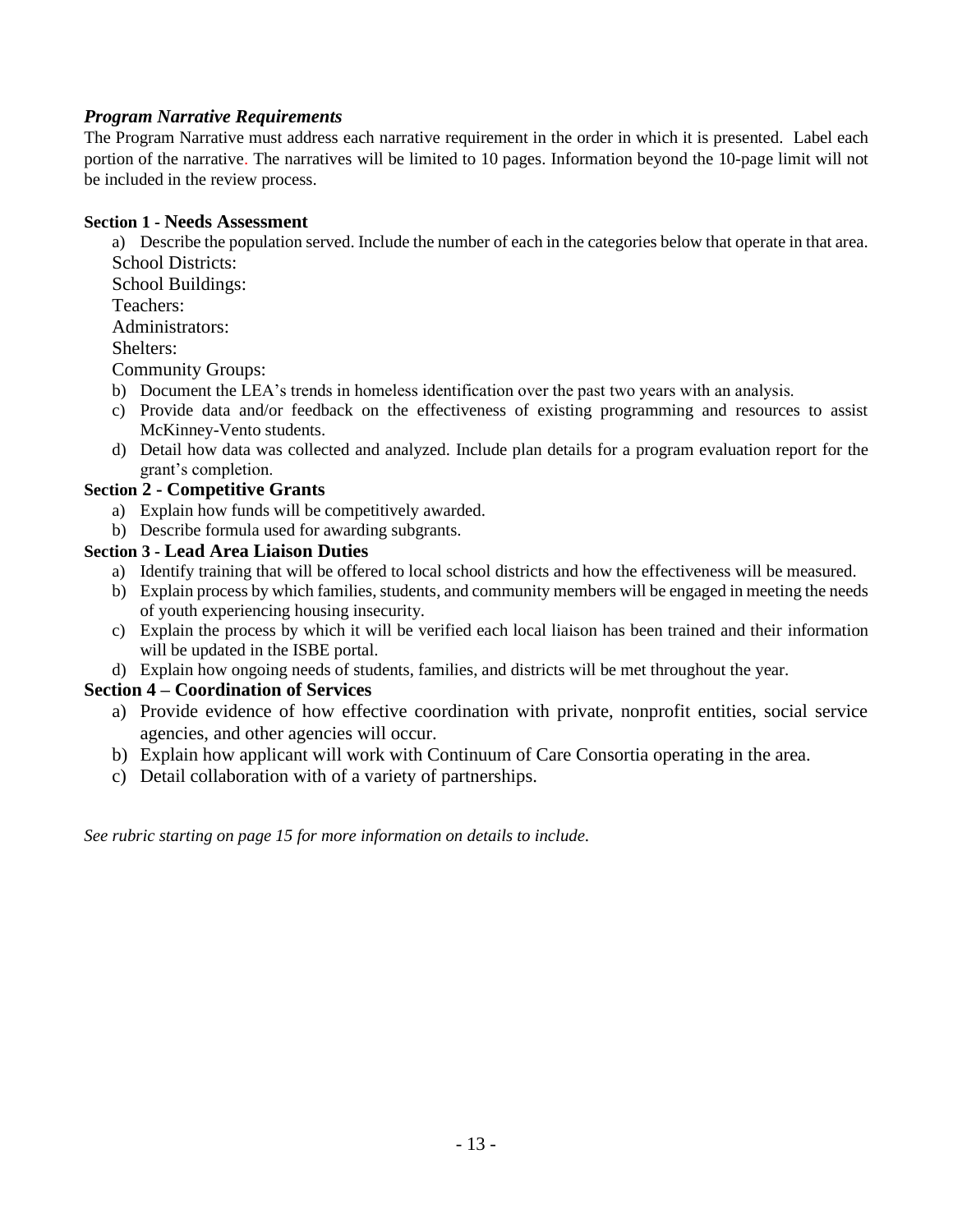## *Program Narrative Requirements*

The Program Narrative must address each narrative requirement in the order in which it is presented. Label each portion of the narrative. The narratives will be limited to 10 pages. Information beyond the 10-page limit will not be included in the review process.

### **Section 1 - Needs Assessment**

a) Describe the population served. Include the number of each in the categories below that operate in that area. School Districts:

School Buildings:

Teachers:

Administrators:

Shelters:

Community Groups:

- b) Document the LEA's trends in homeless identification over the past two years with an analysis.
- c) Provide data and/or feedback on the effectiveness of existing programming and resources to assist McKinney-Vento students.
- d) Detail how data was collected and analyzed. Include plan details for a program evaluation report for the grant's completion.

### **Section 2 - Competitive Grants**

- a) Explain how funds will be competitively awarded.
- b) Describe formula used for awarding subgrants.

### **Section 3 - Lead Area Liaison Duties**

- a) Identify training that will be offered to local school districts and how the effectiveness will be measured.
- b) Explain process by which families, students, and community members will be engaged in meeting the needs of youth experiencing housing insecurity.
- c) Explain the process by which it will be verified each local liaison has been trained and their information will be updated in the ISBE portal.
- d) Explain how ongoing needs of students, families, and districts will be met throughout the year.

### **Section 4 – Coordination of Services**

- a) Provide evidence of how effective coordination with private, nonprofit entities, social service agencies, and other agencies will occur.
- b) Explain how applicant will work with Continuum of Care Consortia operating in the area.
- c) Detail collaboration with of a variety of partnerships.

*See rubric starting on page 15 for more information on details to include.*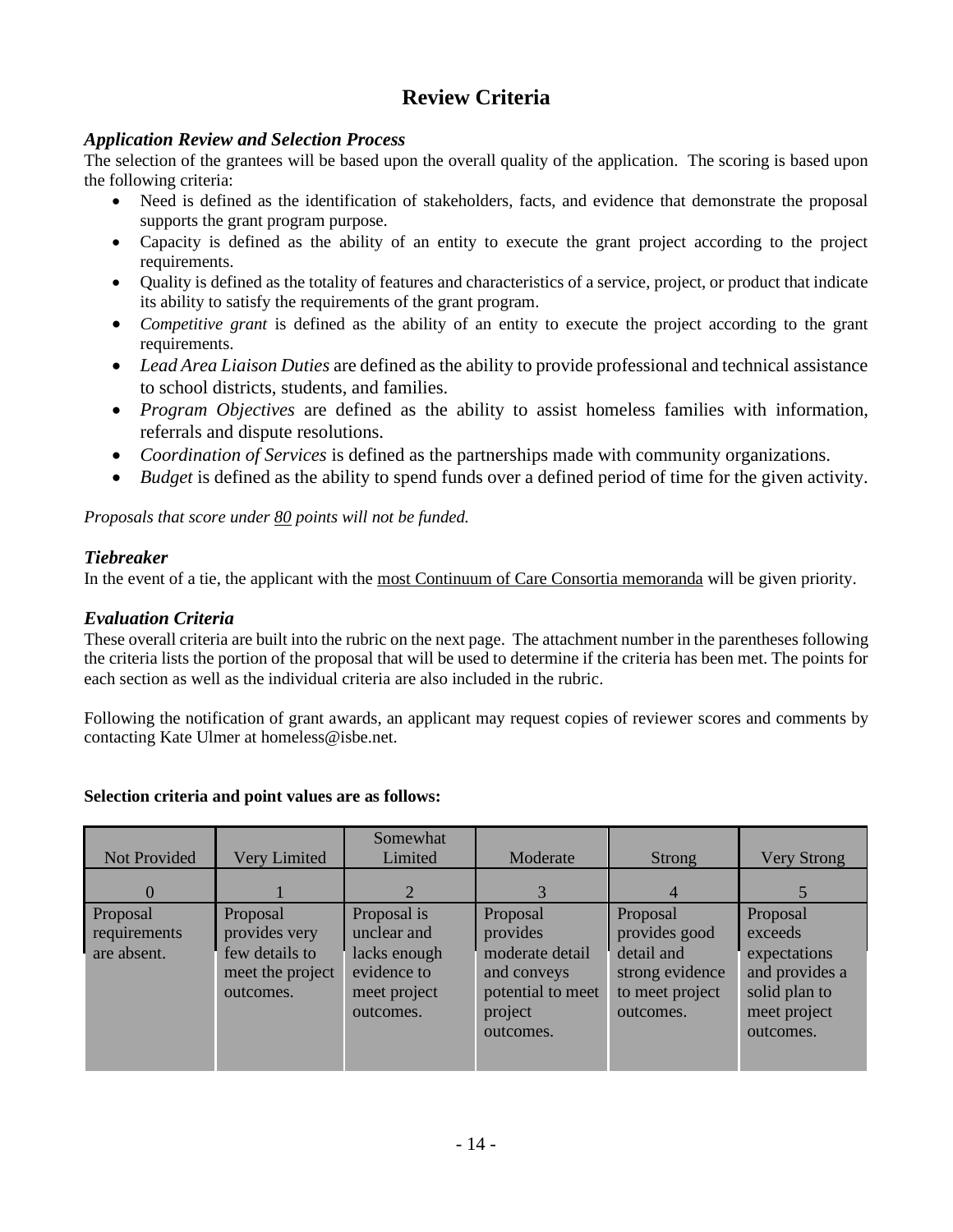# **Review Criteria**

### *Application Review and Selection Process*

The selection of the grantees will be based upon the overall quality of the application. The scoring is based upon the following criteria:

- Need is defined as the identification of stakeholders, facts, and evidence that demonstrate the proposal supports the grant program purpose.
- Capacity is defined as the ability of an entity to execute the grant project according to the project requirements.
- Quality is defined as the totality of features and characteristics of a service, project, or product that indicate its ability to satisfy the requirements of the grant program.
- *Competitive grant* is defined as the ability of an entity to execute the project according to the grant requirements.
- *Lead Area Liaison Duties* are defined as the ability to provide professional and technical assistance to school districts, students, and families.
- *Program Objectives* are defined as the ability to assist homeless families with information, referrals and dispute resolutions.
- *Coordination of Services* is defined as the partnerships made with community organizations.
- *Budget* is defined as the ability to spend funds over a defined period of time for the given activity.

*Proposals that score under 80 points will not be funded.*

## *Tiebreaker*

In the event of a tie, the applicant with the most Continuum of Care Consortia memoranda will be given priority.

## *Evaluation Criteria*

These overall criteria are built into the rubric on the next page. The attachment number in the parentheses following the criteria lists the portion of the proposal that will be used to determine if the criteria has been met. The points for each section as well as the individual criteria are also included in the rubric.

Following the notification of grant awards, an applicant may request copies of reviewer scores and comments by contacting Kate Ulmer at homeless@isbe.net.

#### **Selection criteria and point values are as follows:**

| Not Provided                            | Very Limited                                                                 | Somewhat<br>Limited                                                                    | Moderate                                                                                            | <b>Strong</b>                                                                              | <b>Very Strong</b>                                                                                  |
|-----------------------------------------|------------------------------------------------------------------------------|----------------------------------------------------------------------------------------|-----------------------------------------------------------------------------------------------------|--------------------------------------------------------------------------------------------|-----------------------------------------------------------------------------------------------------|
| $\left( \right)$                        |                                                                              |                                                                                        |                                                                                                     |                                                                                            |                                                                                                     |
| Proposal<br>requirements<br>are absent. | Proposal<br>provides very<br>few details to<br>meet the project<br>outcomes. | Proposal is<br>unclear and<br>lacks enough<br>evidence to<br>meet project<br>outcomes. | Proposal<br>provides<br>moderate detail<br>and conveys<br>potential to meet<br>project<br>outcomes. | Proposal<br>provides good<br>detail and<br>strong evidence<br>to meet project<br>outcomes. | Proposal<br>exceeds<br>expectations<br>and provides a<br>solid plan to<br>meet project<br>outcomes. |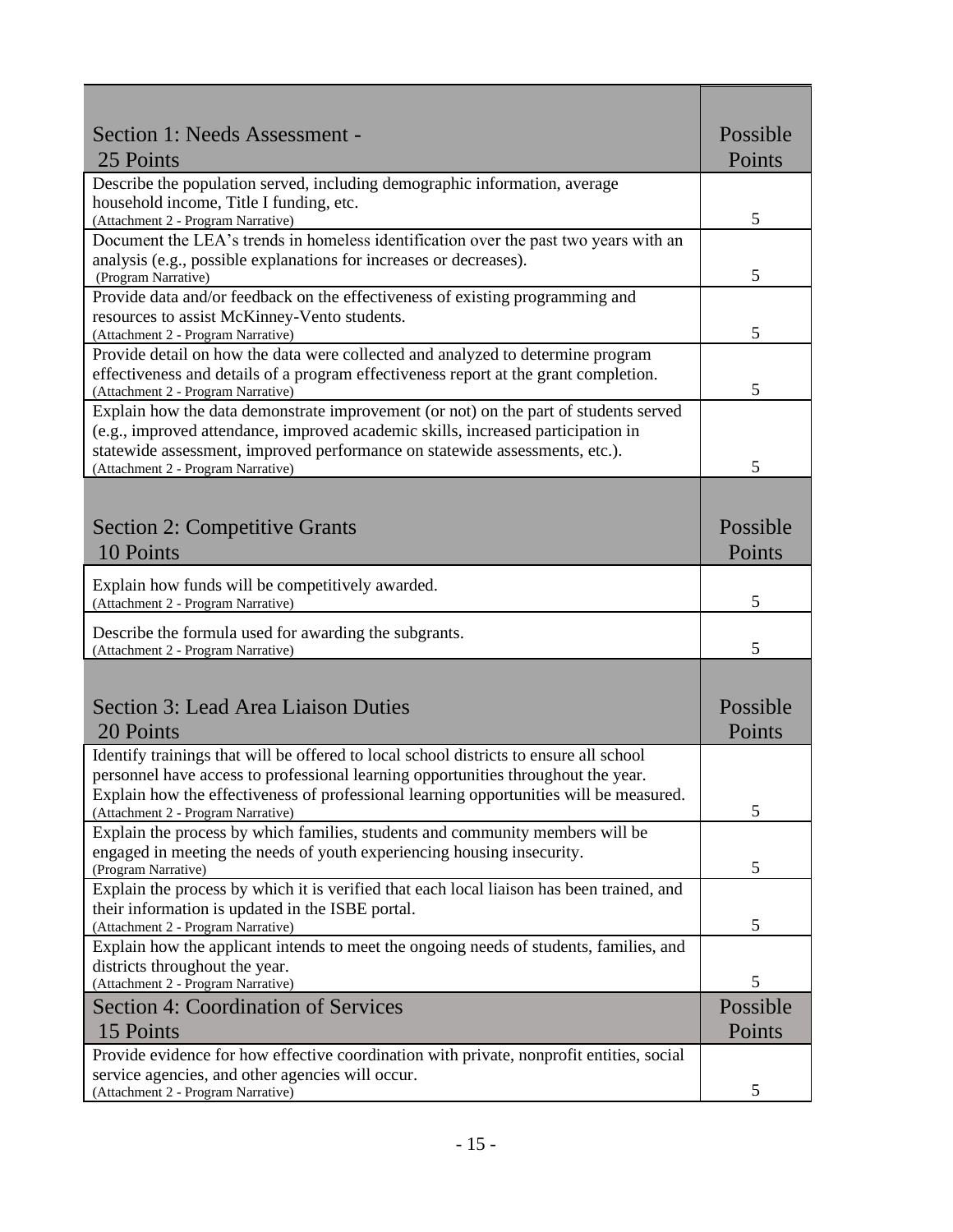| Section 1: Needs Assessment -                                                                                                                           | Possible |  |
|---------------------------------------------------------------------------------------------------------------------------------------------------------|----------|--|
| 25 Points                                                                                                                                               | Points   |  |
| Describe the population served, including demographic information, average                                                                              |          |  |
| household income, Title I funding, etc.                                                                                                                 | 5        |  |
| (Attachment 2 - Program Narrative)<br>Document the LEA's trends in homeless identification over the past two years with an                              |          |  |
| analysis (e.g., possible explanations for increases or decreases).                                                                                      |          |  |
| (Program Narrative)                                                                                                                                     | 5        |  |
| Provide data and/or feedback on the effectiveness of existing programming and                                                                           |          |  |
| resources to assist McKinney-Vento students.                                                                                                            |          |  |
| (Attachment 2 - Program Narrative)<br>Provide detail on how the data were collected and analyzed to determine program                                   | 5        |  |
| effectiveness and details of a program effectiveness report at the grant completion.                                                                    |          |  |
| (Attachment 2 - Program Narrative)                                                                                                                      | 5        |  |
| Explain how the data demonstrate improvement (or not) on the part of students served                                                                    |          |  |
| (e.g., improved attendance, improved academic skills, increased participation in                                                                        |          |  |
| statewide assessment, improved performance on statewide assessments, etc.).<br>(Attachment 2 - Program Narrative)                                       | 5        |  |
|                                                                                                                                                         |          |  |
|                                                                                                                                                         |          |  |
| <b>Section 2: Competitive Grants</b>                                                                                                                    | Possible |  |
| 10 Points                                                                                                                                               | Points   |  |
| Explain how funds will be competitively awarded.                                                                                                        |          |  |
| (Attachment 2 - Program Narrative)                                                                                                                      | 5        |  |
| Describe the formula used for awarding the subgrants.                                                                                                   |          |  |
| (Attachment 2 - Program Narrative)                                                                                                                      | 5        |  |
|                                                                                                                                                         |          |  |
| <b>Section 3: Lead Area Liaison Duties</b>                                                                                                              | Possible |  |
| 20 Points                                                                                                                                               | Points   |  |
| Identify trainings that will be offered to local school districts to ensure all school                                                                  |          |  |
| personnel have access to professional learning opportunities throughout the year.                                                                       |          |  |
| Explain how the effectiveness of professional learning opportunities will be measured.                                                                  |          |  |
| (Attachment 2 - Program Narrative)                                                                                                                      | 5        |  |
| Explain the process by which families, students and community members will be<br>engaged in meeting the needs of youth experiencing housing insecurity. |          |  |
| (Program Narrative)                                                                                                                                     | 5        |  |
| Explain the process by which it is verified that each local liaison has been trained, and                                                               |          |  |
| their information is updated in the ISBE portal.                                                                                                        |          |  |
| (Attachment 2 - Program Narrative)                                                                                                                      | 5        |  |
| Explain how the applicant intends to meet the ongoing needs of students, families, and<br>districts throughout the year.                                |          |  |
| (Attachment 2 - Program Narrative)                                                                                                                      | 5        |  |
| <b>Section 4: Coordination of Services</b>                                                                                                              | Possible |  |
| 15 Points                                                                                                                                               | Points   |  |
| Provide evidence for how effective coordination with private, nonprofit entities, social                                                                |          |  |
| service agencies, and other agencies will occur.                                                                                                        |          |  |
| (Attachment 2 - Program Narrative)                                                                                                                      | 5        |  |